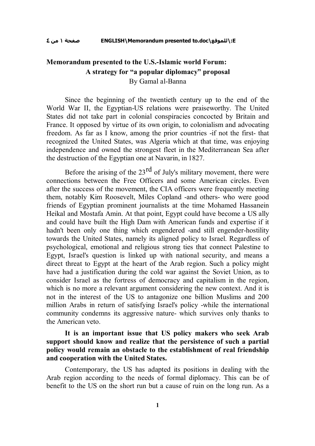# **Memorandum presented to the U.S.-Islamic world Forum: A strategy for "a popular diplomacy" proposal** By Gamal al-Banna

Since the beginning of the twentieth century up to the end of the World War II, the Egyptian-US relations were praiseworthy. The United States did not take part in colonial conspiracies concocted by Britain and France. It opposed by virtue of its own origin, to colonialism and advocating freedom. As far as I know, among the prior countries -if not the first- that recognized the United States, was Algeria which at that time, was enjoying independence and owned the strongest fleet in the Mediterranean Sea after the destruction of the Egyptian one at Navarin, in 1827.

Before the arising of the  $23<sup>rd</sup>$  of July's military movement, there were connections between the Free Officers and some American circles. Even after the success of the movement, the CIA officers were frequently meeting them, notably Kim Roosevelt, Miles Copland -and others- who were good friends of Egyptian prominent journalists at the time Mohamed Hassanein Heikal and Mostafa Amin. At that point, Egypt could have become a US ally and could have built the High Dam with American funds and expertise if it hadn't been only one thing which engendered -and still engender-hostility towards the United States, namely its aligned policy to Israel. Regardless of psychological, emotional and religious strong ties that connect Palestine to Egypt, Israel's question is linked up with national security, and means a direct threat to Egypt at the heart of the Arab region. Such a policy might have had a justification during the cold war against the Soviet Union, as to consider Israel as the fortress of democracy and capitalism in the region, which is no more a relevant argument considering the new context. And it is not in the interest of the US to antagonize one billion Muslims and 200 million Arabs in return of satisfying Israel's policy -while the international community condemns its aggressive nature- which survives only thanks to the American veto.

**It is an important issue that US policy makers who seek Arab support should know and realize that the persistence of such a partial policy would remain an obstacle to the establishment of real friendship and cooperation with the United States.**

Contemporary, the US has adapted its positions in dealing with the Arab region according to the needs of formal diplomacy. This can be of benefit to the US on the short run but a cause of ruin on the long run. As a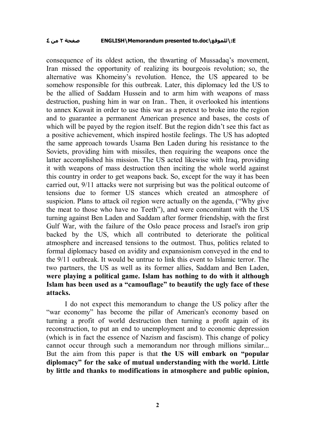#### **٤ من ٢ صفحة ENGLISH\Memorandum presented to.doc\للموقع\:E**

consequence of its oldest action, the thwarting of Mussadaq's movement, Iran missed the opportunity of realizing its bourgeois revolution; so, the alternative was Khomeiny's revolution. Hence, the US appeared to be somehow responsible for this outbreak. Later, this diplomacy led the US to be the allied of Saddam Hussein and to arm him with weapons of mass destruction, pushing him in war on Iran.. Then, it overlooked his intentions to annex Kuwait in order to use this war as a pretext to broke into the region and to guarantee a permanent American presence and bases, the costs of which will be payed by the region itself. But the region didn't see this fact as a positive achievement, which inspired hostile feelings. The US has adopted the same approach towards Usama Ben Laden during his resistance to the Soviets, providing him with missiles, then requiring the weapons once the latter accomplished his mission. The US acted likewise with Iraq, providing it with weapons of mass destruction then inciting the whole world against this country in order to get weapons back. So, except for the way it has been carried out, 9/11 attacks were not surprising but was the political outcome of tensions due to former US stances which created an atmosphere of suspicion. Plans to attack oil region were actually on the agenda, ("Why give the meat to those who have no Teeth"), and were concomitant with the US turning against Ben Laden and Saddam after former friendship, with the first Gulf War, with the failure of the Oslo peace process and Israel's iron grip backed by the US, which all contributed to deteriorate the political atmosphere and increased tensions to the outmost. Thus, politics related to formal diplomacy based on avidity and expansionism conveyed in the end to the 9/11 outbreak. It would be untrue to link this event to Islamic terror. The two partners, the US as well as its former allies, Saddam and Ben Laden, **were playing a political game. Islam has nothing to do with it although Islam has been used as a "camouflage" to beautify the ugly face of these attacks.**

I do not expect this memorandum to change the US policy after the "war economy" has become the pillar of American's economy based on turning a profit of world destruction then turning a profit again of its reconstruction, to put an end to unemployment and to economic depression (which is in fact the essence of Nazism and fascism). This change of policy cannot occur through such a memorandum nor through millions similar... But the aim from this paper is that **the US will embark on "popular diplomacy" for the sake of mutual understanding with the world. Little by little and thanks to modifications in atmosphere and public opinion,**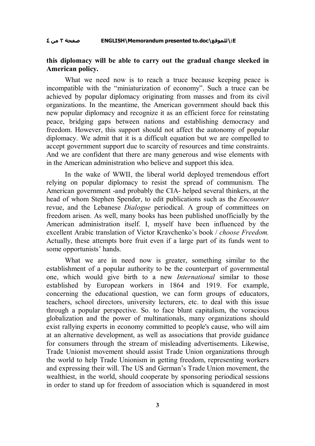### **٤ من ٣ صفحة ENGLISH\Memorandum presented to.doc\للموقع\:E**

## **this diplomacy will be able to carry out the gradual change sleeked in American policy.**

What we need now is to reach a truce because keeping peace is incompatible with the "miniaturization of economy". Such a truce can be achieved by popular diplomacy originating from masses and from its civil organizations. In the meantime, the American government should back this new popular diplomacy and recognize it as an efficient force for reinstating peace, bridging gaps between nations and establishing democracy and freedom. However, this support should not affect the autonomy of popular diplomacy. We admit that it is a difficult equation but we are compelled to accept government support due to scarcity of resources and time constraints. And we are confident that there are many generous and wise elements with in the American administration who believe and support this idea.

In the wake of WWII, the liberal world deployed tremendous effort relying on popular diplomacy to resist the spread of communism. The American government -and probably the CIA- helped several thinkers, at the head of whom Stephen Spender, to edit publications such as the *Encounter* revue, and the Lebanese *Dialogue* periodical. A group of committees on freedom arisen. As well, many books has been published unofficially by the American administration itself. I, myself have been influenced by the excellent Arabic translation of Victor Kravchenko's book / *choose Freedom.* Actually, these attempts bore fruit even if a large part of its funds went to some opportunists' hands.

What we are in need now is greater, something similar to the establishment of a popular authority to be the counterpart of governmental one, which would give birth to a new *International* similar to those established by European workers in 1864 and 1919. For example, concerning the educational question, we can form groups of educators, teachers, school directors, university lecturers, etc. to deal with this issue through a popular perspective. So. to face blunt capitalism, the voracious globalization and the power of multinationals, many organizations should exist rallying experts in economy committed to people's cause, who will aim at an alternative development, as well as associations that provide guidance for consumers through the stream of misleading advertisements. Likewise, Trade Unionist movement should assist Trade Union organizations through the world to help Trade Unionism in getting freedom, representing workers and expressing their will. The US and German's Trade Union movement, the wealthiest, in the world, should cooperate by sponsoring periodical sessions in order to stand up for freedom of association which is squandered in most